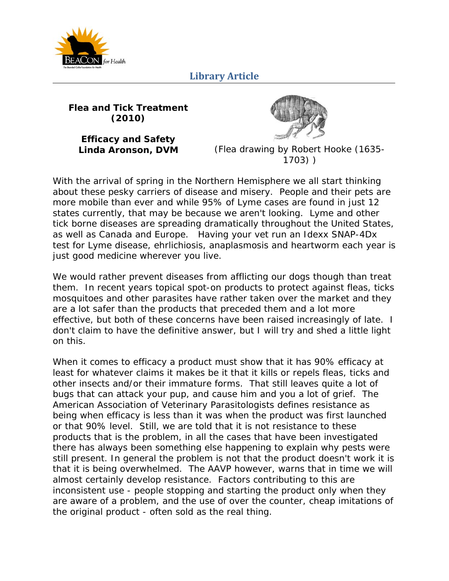

**Flea and Tick Treatment (2010)** 

**Efficacy and Safety** 

**Linda Aronson, DVM** (*Flea drawing by Robert Hooke (1635- 1703)* )

With the arrival of spring in the Northern Hemisphere we all start thinking about these pesky carriers of disease and misery. People and their pets are more mobile than ever and while 95% of Lyme cases are found in just 12 states currently, that may be because we aren't looking. Lyme and other tick borne diseases are spreading dramatically throughout the United States, as well as Canada and Europe. Having your vet run an Idexx SNAP-4Dx test for Lyme disease, ehrlichiosis, anaplasmosis and heartworm each year is just good medicine wherever you live.

We would rather prevent diseases from afflicting our dogs though than treat them. In recent years topical spot-on products to protect against fleas, ticks mosquitoes and other parasites have rather taken over the market and they are a lot safer than the products that preceded them and a lot more effective, but both of these concerns have been raised increasingly of late. I don't claim to have the definitive answer, but I will try and shed a little light on this.

When it comes to efficacy a product must show that it has 90% efficacy at least for whatever claims it makes be it that it kills or repels fleas, ticks and other insects and/or their immature forms. That still leaves quite a lot of bugs that can attack your pup, and cause him and you a lot of grief. The American Association of Veterinary Parasitologists defines resistance as being when efficacy is less than it was when the product was first launched or that 90% level. Still, we are told that it is not resistance to these products that is the problem, in all the cases that have been investigated there has always been something else happening to explain why pests were still present. In general the problem is not that the product doesn't work it is that it is being overwhelmed. The AAVP however, warns that in time we will almost certainly develop resistance. Factors contributing to this are inconsistent use - people stopping and starting the product only when they are aware of a problem, and the use of over the counter, cheap imitations of the original product - often sold as the real thing.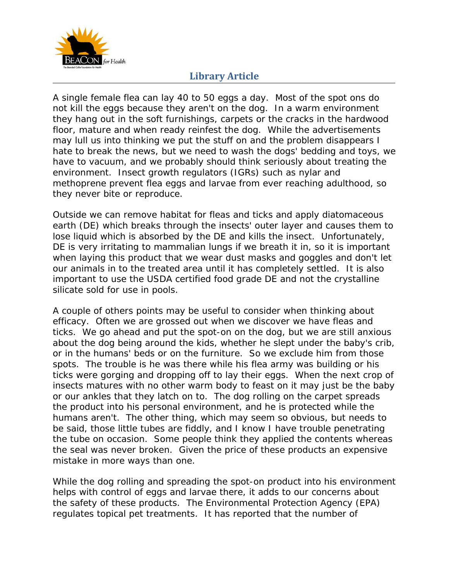

A single female flea can lay 40 to 50 eggs a day. Most of the spot ons do not kill the eggs because they aren't on the dog. In a warm environment they hang out in the soft furnishings, carpets or the cracks in the hardwood floor, mature and when ready reinfest the dog. While the advertisements may lull us into thinking we put the stuff on and the problem disappears I hate to break the news, but we need to wash the dogs' bedding and toys, we have to vacuum, and we probably should think seriously about treating the environment. Insect growth regulators (IGRs) such as nylar and methoprene prevent flea eggs and larvae from ever reaching adulthood, so they never bite or reproduce.

Outside we can remove habitat for fleas and ticks and apply diatomaceous earth (DE) which breaks through the insects' outer layer and causes them to lose liquid which is absorbed by the DE and kills the insect. Unfortunately, DE is very irritating to mammalian lungs if we breath it in, so it is important when laying this product that we wear dust masks and goggles and don't let our animals in to the treated area until it has completely settled. It is also important to use the USDA certified food grade DE and not the crystalline silicate sold for use in pools.

A couple of others points may be useful to consider when thinking about efficacy. Often we are grossed out when we discover we have fleas and ticks. We go ahead and put the spot-on on the dog, but we are still anxious about the dog being around the kids, whether he slept under the baby's crib, or in the humans' beds or on the furniture. So we exclude him from those spots. The trouble is he was there while his flea army was building or his ticks were gorging and dropping off to lay their eggs. When the next crop of insects matures with no other warm body to feast on it may just be the baby or our ankles that they latch on to. The dog rolling on the carpet spreads the product into his personal environment, and he is protected while the humans aren't. The other thing, which may seem so obvious, but needs to be said, those little tubes are fiddly, and I know I have trouble penetrating the tube on occasion. Some people think they applied the contents whereas the seal was never broken. Given the price of these products an expensive mistake in more ways than one.

While the dog rolling and spreading the spot-on product into his environment helps with control of eggs and larvae there, it adds to our concerns about the safety of these products. The Environmental Protection Agency (EPA) regulates topical pet treatments. It has reported that the number of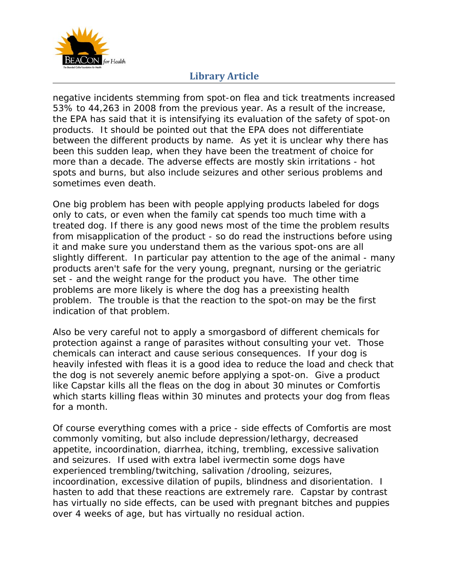

negative incidents stemming from spot-on flea and tick treatments increased 53% to 44,263 in 2008 from the previous year. As a result of the increase, the EPA has said that it is intensifying its evaluation of the safety of spot-on products. It should be pointed out that the EPA does not differentiate between the different products by name. As yet it is unclear why there has been this sudden leap, when they have been the treatment of choice for more than a decade. The adverse effects are mostly skin irritations - hot spots and burns, but also include seizures and other serious problems and sometimes even death.

One big problem has been with people applying products labeled for dogs only to cats, or even when the family cat spends too much time with a treated dog. If there is any good news most of the time the problem results from misapplication of the product - so do read the instructions before using it and make sure you understand them as the various spot-ons are all slightly different. In particular pay attention to the age of the animal - many products aren't safe for the very young, pregnant, nursing or the geriatric set - and the weight range for the product you have. The other time problems are more likely is where the dog has a preexisting health problem. The trouble is that the reaction to the spot-on may be the first indication of that problem.

Also be very careful not to apply a smorgasbord of different chemicals for protection against a range of parasites without consulting your vet. Those chemicals can interact and cause serious consequences. If your dog is heavily infested with fleas it is a good idea to reduce the load and check that the dog is not severely anemic before applying a spot-on. Give a product like Capstar kills all the fleas on the dog in about 30 minutes or Comfortis which starts killing fleas within 30 minutes and protects your dog from fleas for a month.

Of course everything comes with a price - side effects of Comfortis are most commonly vomiting, but also include depression/lethargy, decreased appetite, incoordination, diarrhea, itching, trembling, excessive salivation and seizures. If used with extra label ivermectin some dogs have experienced trembling/twitching, salivation /drooling, seizures, incoordination, excessive dilation of pupils, blindness and disorientation. I hasten to add that these reactions are extremely rare. Capstar by contrast has virtually no side effects, can be used with pregnant bitches and puppies over 4 weeks of age, but has virtually no residual action.